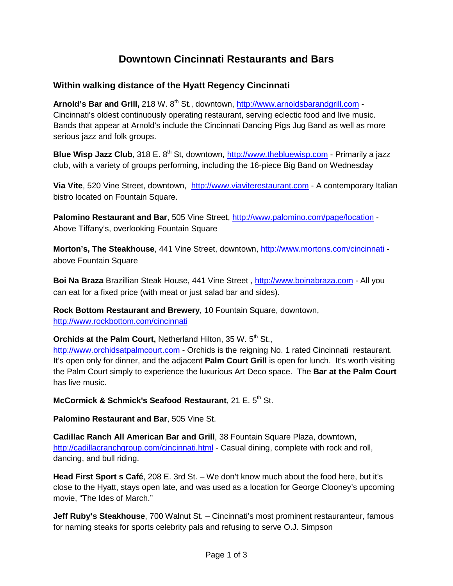## **Downtown Cincinnati Restaurants and Bars**

## **Within walking distance of the Hyatt Regency Cincinnati**

Arnold's Bar and Grill, 218 W. 8<sup>th</sup> St., downtown, [http://www.arnoldsbarandgrill.com](http://www.arnoldsbarandgrill.com/) -Cincinnati's oldest continuously operating restaurant, serving eclectic food and live music. Bands that appear at Arnold's include the Cincinnati Dancing Pigs Jug Band as well as more serious jazz and folk groups.

**Blue Wisp Jazz Club**, 318 E. 8<sup>th</sup> St, downtown, [http://www.thebluewisp.com](http://www.thebluewisp.com/) - Primarily a jazz club, with a variety of groups performing, including the 16-piece Big Band on Wednesday

**Via Vite**, 520 Vine Street, downtown, [http://www.viaviterestaurant.com](http://www.viaviterestaurant.com/) - A contemporary Italian bistro located on Fountain Square.

**Palomino Restaurant and Bar**, 505 Vine Street, <http://www.palomino.com/page/location> - Above Tiffany's, overlooking Fountain Square

**Morton's, The Steakhouse**, 441 Vine Street, downtown, [http://www.mortons.com/cincinnati](http://www.mortons.com/cincinnati/) above Fountain Square

**Boi Na Braza** Brazillian Steak House, 441 Vine Street, [http://www.boinabraza.com](http://www.boinabraza.com/) - All you can eat for a fixed price (with meat or just salad bar and sides).

**Rock Bottom Restaurant and Brewery**, 10 Fountain Square, downtown, <http://www.rockbottom.com/cincinnati>

**Orchids at the Palm Court, Netherland Hilton, 35 W. 5<sup>th</sup> St.,** 

[http://www.orchidsatpalmcourt.com](http://www.orchidsatpalmcourt.com/) - Orchids is the reigning No. 1 rated Cincinnati restaurant. It's open only for dinner, and the adjacent **Palm Court Grill** is open for lunch. It's worth visiting the Palm Court simply to experience the luxurious Art Deco space. The **Bar at the Palm Court** has live music.

**McCormick & Schmick's Seafood Restaurant.** 21 E. 5<sup>th</sup> St.

**Palomino Restaurant and Bar**, 505 Vine St.

**Cadillac Ranch All American Bar and Grill**, 38 Fountain Square Plaza, downtown, <http://cadillacranchgroup.com/cincinnati.html> - Casual dining, complete with rock and roll, dancing, and bull riding.

**Head First Sport s Café**, 208 E. 3rd St. – We don't know much about the food here, but it's close to the Hyatt, stays open late, and was used as a location for George Clooney's upcoming movie, "The Ides of March."

**Jeff Ruby's Steakhouse**, 700 Walnut St. – Cincinnati's most prominent restauranteur, famous for naming steaks for sports celebrity pals and refusing to serve O.J. Simpson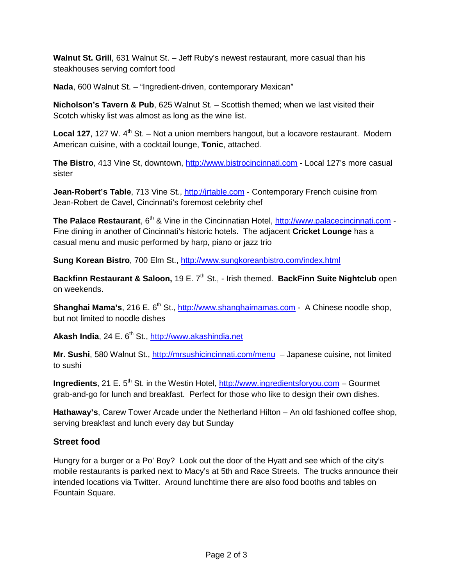**Walnut St. Grill**, 631 Walnut St. – Jeff Ruby's newest restaurant, more casual than his steakhouses serving comfort food

**Nada**, 600 Walnut St. – "Ingredient-driven, contemporary Mexican"

**Nicholson's Tavern & Pub**, 625 Walnut St. – Scottish themed; when we last visited their Scotch whisky list was almost as long as the wine list.

**Local 127**, 127 W. 4<sup>th</sup> St. – Not a union members hangout, but a locavore restaurant. Modern American cuisine, with a cocktail lounge, **Tonic**, attached.

The Bistro, 413 Vine St, downtown, [http://www.bistrocincinnati.com](http://www.bistrocincinnati.com/) - Local 127's more casual sister

**Jean-Robert's Table**, 713 Vine St., [http://jrtable.com](http://jrtable.com/) - Contemporary French cuisine from Jean-Robert de Cavel, Cincinnati's foremost celebrity chef

**The Palace Restaurant**, 6<sup>th</sup> & Vine in the Cincinnatian Hotel, [http://www.palacecincinnati.com](http://www.palacecincinnati.com/) -Fine dining in another of Cincinnati's historic hotels. The adjacent **Cricket Lounge** has a casual menu and music performed by harp, piano or jazz trio

**Sung Korean Bistro**, 700 Elm St.,<http://www.sungkoreanbistro.com/index.html>

**Backfinn Restaurant & Saloon, 19 E. 7<sup>th</sup> St., - Irish themed. <b>BackFinn Suite Nightclub** open on weekends.

**Shanghai Mama's**, 216 E. 6<sup>th</sup> St., [http://www.shanghaimamas.com](http://www.shanghaimamas.com/) - A Chinese noodle shop, but not limited to noodle dishes

Akash India, 24 E. 6<sup>th</sup> St., [http://www.akashindia.net](http://www.akashindia.net/)

**Mr. Sushi**, 580 Walnut St., [http://mrsushicincinnati.com/menu](http://mrsushicincinnati.com/menu/) – Japanese cuisine, not limited to sushi

**Ingredients**, 21 E. 5<sup>th</sup> St. in the Westin Hotel, [http://www.ingredientsforyou.com](http://www.ingredientsforyou.com/) – Gourmet grab-and-go for lunch and breakfast. Perfect for those who like to design their own dishes.

**Hathaway's**, Carew Tower Arcade under the Netherland Hilton – An old fashioned coffee shop, serving breakfast and lunch every day but Sunday

## **Street food**

Hungry for a burger or a Po' Boy? Look out the door of the Hyatt and see which of the city's mobile restaurants is parked next to Macy's at 5th and Race Streets. The trucks announce their intended locations via Twitter. Around lunchtime there are also food booths and tables on Fountain Square.